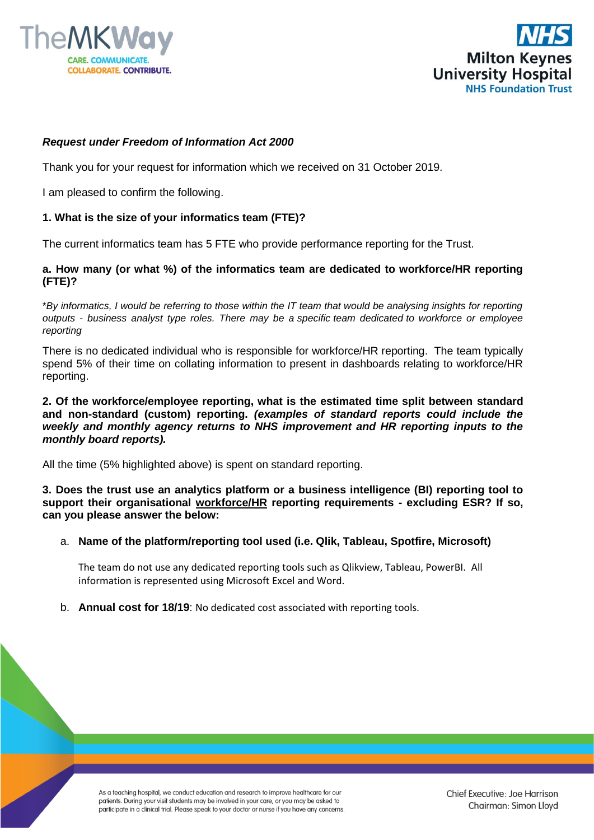



# *Request under Freedom of Information Act 2000*

Thank you for your request for information which we received on 31 October 2019.

I am pleased to confirm the following.

# **1. What is the size of your informatics team (FTE)?**

The current informatics team has 5 FTE who provide performance reporting for the Trust.

### **a. How many (or what %) of the informatics team are dedicated to workforce/HR reporting (FTE)?**

\**By informatics, I would be referring to those within the IT team that would be analysing insights for reporting outputs - business analyst type roles. There may be a specific team dedicated to workforce or employee reporting*

There is no dedicated individual who is responsible for workforce/HR reporting. The team typically spend 5% of their time on collating information to present in dashboards relating to workforce/HR reporting.

### **2. Of the workforce/employee reporting, what is the estimated time split between standard and non-standard (custom) reporting.** *(examples of standard reports could include the weekly and monthly agency returns to NHS improvement and HR reporting inputs to the monthly board reports).*

All the time (5% highlighted above) is spent on standard reporting.

**3. Does the trust use an analytics platform or a business intelligence (BI) reporting tool to support their organisational workforce/HR reporting requirements - excluding ESR? If so, can you please answer the below:**

#### a. **Name of the platform/reporting tool used (i.e. Qlik, Tableau, Spotfire, Microsoft)**

The team do not use any dedicated reporting tools such as Qlikview, Tableau, PowerBI. All information is represented using Microsoft Excel and Word.

b. **Annual cost for 18/19**: No dedicated cost associated with reporting tools.

As a teaching hospital, we conduct education and research to improve healthcare for our patients. During your visit students may be involved in your care, or you may be asked to participate in a clinical trial. Please speak to your doctor or nurse if you have any concerns.